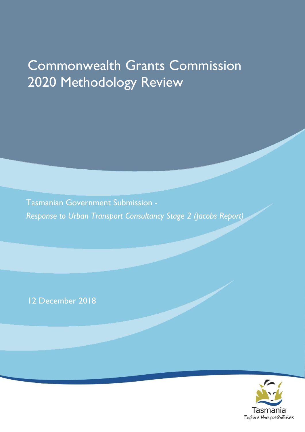# Commonwealth Grants Commission 2020 Methodology Review

Tasmanian Government Submission - *Response to Urban Transport Consultancy Stage 2 (Jacobs Report)* 

12 December 2018

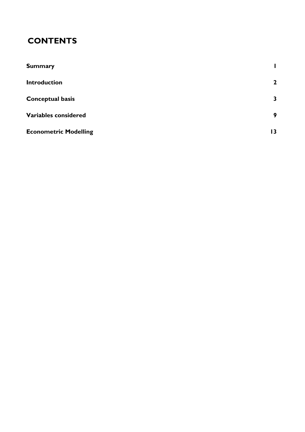# **CONTENTS**

| <b>Summary</b>               |              |
|------------------------------|--------------|
| <b>Introduction</b>          | $\mathbf{2}$ |
| <b>Conceptual basis</b>      | $\mathbf{3}$ |
| Variables considered         | 9            |
| <b>Econometric Modelling</b> | 13.          |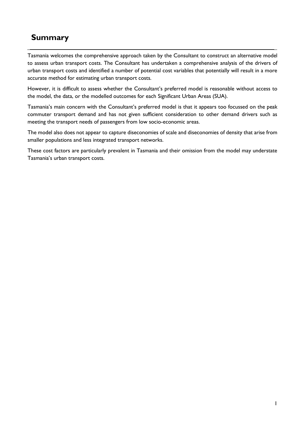# <span id="page-3-0"></span>**Summary**

Tasmania welcomes the comprehensive approach taken by the Consultant to construct an alternative model to assess urban transport costs. The Consultant has undertaken a comprehensive analysis of the drivers of urban transport costs and identified a number of potential cost variables that potentially will result in a more accurate method for estimating urban transport costs.

However, it is difficult to assess whether the Consultant's preferred model is reasonable without access to the model, the data, or the modelled outcomes for each Significant Urban Areas (SUA).

Tasmania's main concern with the Consultant's preferred model is that it appears too focussed on the peak commuter transport demand and has not given sufficient consideration to other demand drivers such as meeting the transport needs of passengers from low socio-economic areas.

The model also does not appear to capture diseconomies of scale and diseconomies of density that arise from smaller populations and less integrated transport networks.

These cost factors are particularly prevalent in Tasmania and their omission from the model may understate Tasmania's urban transport costs.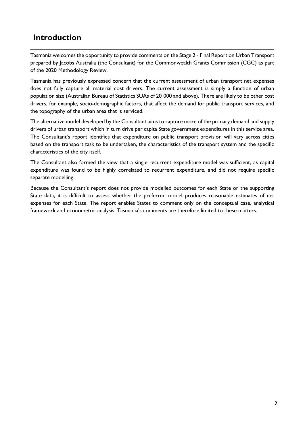# <span id="page-4-0"></span>**Introduction**

Tasmania welcomes the opportunity to provide comments on the Stage 2 - Final Report on Urban Transport prepared by Jacobs Australia (the Consultant) for the Commonwealth Grants Commission (CGC) as part of the 2020 Methodology Review.

Tasmania has previously expressed concern that the current assessment of urban transport net expenses does not fully capture all material cost drivers. The current assessment is simply a function of urban population size (Australian Bureau of Statistics SUAs of 20 000 and above). There are likely to be other cost drivers, for example, socio-demographic factors, that affect the demand for public transport services, and the topography of the urban area that is serviced.

The alternative model developed by the Consultant aims to capture more of the primary demand and supply drivers of urban transport which in turn drive per capita State government expenditures in this service area. The Consultant's report identifies that expenditure on public transport provision will vary across cities based on the transport task to be undertaken, the characteristics of the transport system and the specific characteristics of the city itself.

The Consultant also formed the view that a single recurrent expenditure model was sufficient, as capital expenditure was found to be highly correlated to recurrent expenditure, and did not require specific separate modelling.

Because the Consultant's report does not provide modelled outcomes for each State or the supporting State data, it is difficult to assess whether the preferred model produces reasonable estimates of net expenses for each State. The report enables States to comment only on the conceptual case, analytical framework and econometric analysis. Tasmania's comments are therefore limited to these matters.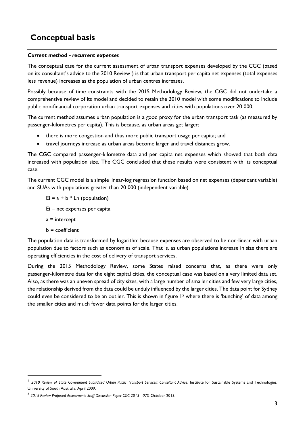# <span id="page-5-0"></span>**Conceptual basis**

### *Current method - recurrent expenses*

The conceptual case for the current assessment of urban transport expenses developed by the CGC (based on its consultant's advice to the 2010 Review<sup>1</sup>) is that urban transport per capita net expenses (total expenses less revenue) increases as the population of urban centres increases.

Possibly because of time constraints with the 2015 Methodology Review, the CGC did not undertake a comprehensive review of its model and decided to retain the 2010 model with some modifications to include public non-financial corporation urban transport expenses and cities with populations over 20 000.

The current method assumes urban population is a good proxy for the urban transport task (as measured by passenger-kilometres per capita). This is because, as urban areas get larger:

- there is more congestion and thus more public transport usage per capita; and
- travel journeys increase as urban areas become larger and travel distances grow.

The CGC compared passenger-kilometre data and per capita net expenses which showed that both data increased with population size. The CGC concluded that these results were consistent with its conceptual case.

The current CGC model is a simple linear-log regression function based on net expenses (dependant variable) and SUAs with populations greater than 20 000 (independent variable).

 $Ei = a + b * Ln (population)$ 

Ei = net expenses per capita

- $a =$  intercept
- $b =$  coefficient

 $\overline{a}$ 

The population data is transformed by logarithm because expenses are observed to be non-linear with urban population due to factors such as economies of scale. That is, as urban populations increase in size there are operating efficiencies in the cost of delivery of transport services.

During the 2015 Methodology Review, some States raised concerns that, as there were only passenger-kilometre data for the eight capital cities, the conceptual case was based on a very limited data set. Also, as there was an uneven spread of city sizes, with a large number of smaller cities and few very large cities, the relationship derived from the data could be unduly influenced by the larger cities. The data point for Sydney could even be considered to be an outlier. This is shown in figure  $1<sup>2</sup>$  where there is 'bunching' of data among the smaller cities and much fewer data points for the larger cities.

<sup>&</sup>lt;sup>1</sup> 2010 Review of State Government Subsidised Urban Public Transport Services: Consultant Advice, Institute for Sustainable Systems and Technologies, University of South Australia, April 2009.

<sup>2</sup> *2015 Review Proposed Assessments Staff Discussion Paper CGC 2013 - 07S,* October 2013.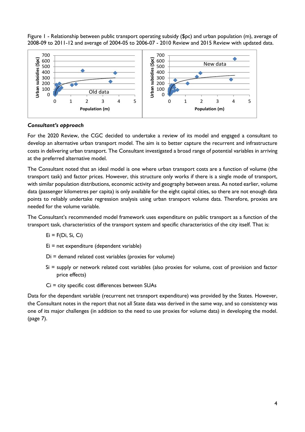Figure 1 - Relationship between public transport operating subsidy (\$pc) and urban population (m), average of 2008-09 to 2011-12 and average of 2004-05 to 2006-07 - 2010 Review and 2015 Review with updated data.



### *Consultant's approach*

For the 2020 Review, the CGC decided to undertake a review of its model and engaged a consultant to develop an alternative urban transport model. The aim is to better capture the recurrent and infrastructure costs in delivering urban transport. The Consultant investigated a broad range of potential variables in arriving at the preferred alternative model.

The Consultant noted that an ideal model is one where urban transport costs are a function of volume (the transport task) and factor prices. However, this structure only works if there is a single mode of transport, with similar population distributions, economic activity and geography between areas. As noted earlier, volume data (passenger kilometres per capita) is only available for the eight capital cities, so there are not enough data points to reliably undertake regression analysis using urban transport volume data. Therefore, proxies are needed for the volume variable.

The Consultant's recommended model framework uses expenditure on public transport as a function of the transport task, characteristics of the transport system and specific characteristics of the city itself. That is:

$$
Ei = F(Di, Si, Ci)
$$

Ei = net expenditure (dependent variable)

- Di = demand related cost variables (proxies for volume)
- Si = supply or network related cost variables (also proxies for volume, cost of provision and factor price effects)
- Ci = city specific cost differences between SUAs

Data for the dependant variable (recurrent net transport expenditure) was provided by the States. However, the Consultant notes in the report that not all State data was derived in the same way, and so consistency was one of its major challenges (in addition to the need to use proxies for volume data) in developing the model. (page 7).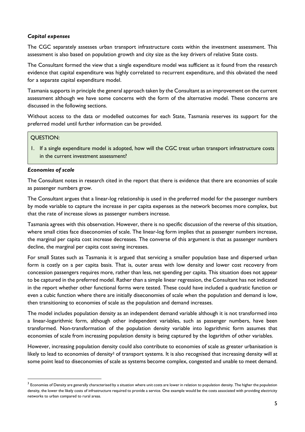### *Capital expenses*

The CGC separately assesses urban transport infrastructure costs within the investment assessment. This assessment is also based on population growth and city size as the key drivers of relative State costs.

The Consultant formed the view that a single expenditure model was sufficient as it found from the research evidence that capital expenditure was highly correlated to recurrent expenditure, and this obviated the need for a separate capital expenditure model.

Tasmania supports in principle the general approach taken by the Consultant as an improvement on the current assessment although we have some concerns with the form of the alternative model. These concerns are discussed in the following sections.

Without access to the data or modelled outcomes for each State, Tasmania reserves its support for the preferred model until further information can be provided.

#### QUESTION:

1. If a single expenditure model is adopted, how will the CGC treat urban transport infrastructure costs in the current investment assessment?

#### *Economies of scale*

The Consultant notes in research cited in the report that there is evidence that there are economies of scale as passenger numbers grow.

The Consultant argues that a linear-log relationship is used in the preferred model for the passenger numbers by mode variable to capture the increase in per capita expenses as the network becomes more complex, but that the rate of increase slows as passenger numbers increase.

Tasmania agrees with this observation. However, there is no specific discussion of the reverse of this situation, where small cities face diseconomies of scale. The linear-log form implies that as passenger numbers increase, the marginal per capita cost increase decreases. The converse of this argument is that as passenger numbers decline, the marginal per capita cost saving increases.

For small States such as Tasmania it is argued that servicing a smaller population base and dispersed urban form is costly on a per capita basis. That is, outer areas with low density and lower cost recovery from concession passengers requires more, rather than less, net spending per capita. This situation does not appear to be captured in the preferred model. Rather than a simple linear regression, the Consultant has not indicated in the report whether other functional forms were tested. These could have included a quadratic function or even a cubic function where there are initially diseconomies of scale when the population and demand is low, then transitioning to economies of scale as the population and demand increases.

The model includes population density as an independent demand variable although it is not transformed into a linear-logarithmic form, although other independent variables, such as passenger numbers, have been transformed. Non-transformation of the population density variable into logarithmic form assumes that economies of scale from increasing population density is being captured by the logarithm of other variables.

However, increasing population density could also contribute to economies of scale as greater urbanisation is likely to lead to economies of density<sup>3</sup> of transport systems. It is also recognised that increasing density will at some point lead to diseconomies of scale as systems become complex, congested and unable to meet demand.

 $^3$  Economies of Density are generally characterised by a situation where unit costs are lower in relation to population density. The higher the population density, the lower the likely costs of infrastructure required to provide a service. One example would be the costs associated with providing electricity networks to urban compared to rural areas.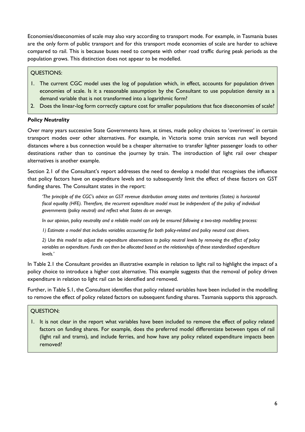Economies/diseconomies of scale may also vary according to transport mode. For example, in Tasmania buses are the only form of public transport and for this transport mode economies of scale are harder to achieve compared to rail. This is because buses need to compete with other road traffic during peak periods as the population grows. This distinction does not appear to be modelled.

# QUESTIONS:

- 1. The current CGC model uses the log of population which, in effect, accounts for population driven economies of scale. Is it a reasonable assumption by the Consultant to use population density as a demand variable that is not transformed into a logarithmic form?
- 2. Does the linear-log form correctly capture cost for smaller populations that face diseconomies of scale?

# *Policy Neutrality*

Over many years successive State Governments have, at times, made policy choices to 'overinvest' in certain transport modes over other alternatives. For example, in Victoria some train services run well beyond distances where a bus connection would be a cheaper alternative to transfer lighter passenger loads to other destinations rather than to continue the journey by train. The introduction of light rail over cheaper alternatives is another example.

Section 2.1 of the Consultant's report addresses the need to develop a model that recognises the influence that policy factors have on expenditure levels and to subsequently limit the effect of these factors on GST funding shares. The Consultant states in the report:

*'The principle of the CGC's advice on GST revenue distribution among states and territories (States) is horizontal fiscal equality (HFE). Therefore, the recurrent expenditure model must be independent of the policy of individual governments (policy neutral) and reflect what States do on average.*

*In our opinion, policy neutrality and a reliable model can only be ensured following a two-step modelling process:*

*1) Estimate a model that includes variables accounting for both policy-related and policy neutral cost drivers.*

*2) Use this model to adjust the expenditure observations to policy neutral levels by removing the effect of policy variables on expenditure. Funds can then be allocated based on the relationships of these standardised expenditure levels.'*

In Table 2.1 the Consultant provides an illustrative example in relation to light rail to highlight the impact of a policy choice to introduce a higher cost alternative. This example suggests that the removal of policy driven expenditure in relation to light rail can be identified and removed.

Further, in Table 5.1, the Consultant identifies that policy related variables have been included in the modelling to remove the effect of policy related factors on subsequent funding shares. Tasmania supports this approach.

# QUESTION:

1. It is not clear in the report what variables have been included to remove the effect of policy related factors on funding shares. For example, does the preferred model differentiate between types of rail (light rail and trams), and include ferries, and how have any policy related expenditure impacts been removed?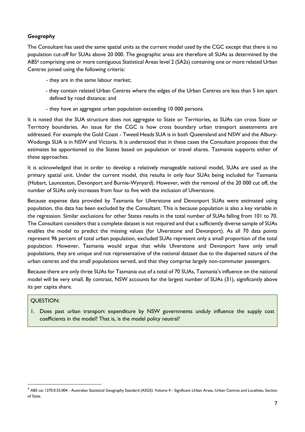# *Geography*

The Consultant has used the same spatial units as the current model used by the CGC except that there is no population cut-off for SUAs above 20 000. The geographic areas are therefore all SUAs as determined by the ABS<sup>4</sup> comprising one or more contiguous Statistical Areas level 2 (SA2s) containing one or more related Urban Centres joined using the following criteria:

- they are in the same labour market;
- they contain related Urban Centres where the edges of the Urban Centres are less than 5 km apart defined by road distance; and
- they have an aggregate urban population exceeding 10 000 persons.

It is noted that the SUA structure does not aggregate to State or Territories, as SUAs can cross State or Territory boundaries. An issue for the CGC is how cross boundary urban transport assessments are addressed. For example the Gold Coast - Tweed Heads SUA is in both Queensland and NSW and the Albury-Wodonga SUA is in NSW and Victoria. It is understood that in these cases the Consultant proposes that the estimates be apportioned to the States based on population or travel shares. Tasmania supports either of these approaches.

It is acknowledged that in order to develop a relatively manageable national model, SUAs are used as the primary spatial unit. Under the current model, this results in only four SUAs being included for Tasmania (Hobart, Launceston, Devonport and Burnie-Wynyard). However, with the removal of the 20 000 cut off, the number of SUAs only increases from four to five with the inclusion of Ulverstone.

Because expense data provided by Tasmania for Ulverstone and Devonport SUAs were estimated using population, this data has been excluded by the Consultant. This is because population is also a key variable in the regression. Similar exclusions for other States results in the total number of SUAs falling from 101 to 70. The Consultant considers that a complete dataset is not required and that a sufficiently diverse sample of SUAs enables the model to predict the missing values (for Ulverstone and Devonport). As all 70 data points represent 96 percent of total urban population, excluded SUAs represent only a small proportion of the total population. However, Tasmania would argue that while Ulverstone and Devonport have only small populations, they are unique and not representative of the national dataset due to the dispersed nature of the urban centres and the small populations served, and that they comprise largely non-commuter passengers.

Because there are only three SUAs for Tasmania out of a total of 70 SUAs, Tasmania's influence on the national model will be very small. By contrast, NSW accounts for the largest number of SUAs (31), significantly above its per capita share.

# QUESTION:

 $\overline{a}$ 

1. Does past urban transport expenditure by NSW governments unduly influence the supply cost coefficients in the model? That is, is the model policy neutral?

<sup>4</sup> ABS cat 1270.0.55.004 - Australian Statistical Geography Standard (ASGS): Volume 4 - Significant Urban Areas, Urban Centres and Localities, Section of State.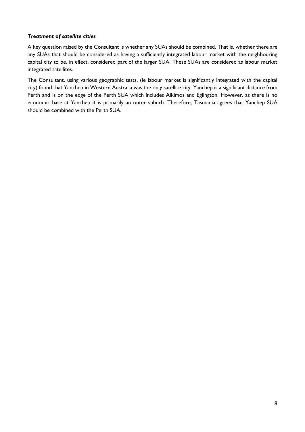# *Treatment of satellite cities*

A key question raised by the Consultant is whether any SUAs should be combined. That is, whether there are any SUAs that should be considered as having a sufficiently integrated labour market with the neighbouring capital city to be, in effect, considered part of the larger SUA. These SUAs are considered as labour market integrated satellites.

The Consultant, using various geographic tests, (ie labour market is significantly integrated with the capital city) found that Yanchep in Western Australia was the only satellite city. Yanchep is a significant distance from Perth and is on the edge of the Perth SUA which includes Alkimos and Eglington. However, as there is no economic base at Yanchep it is primarily an outer suburb. Therefore, Tasmania agrees that Yanchep SUA should be combined with the Perth SUA.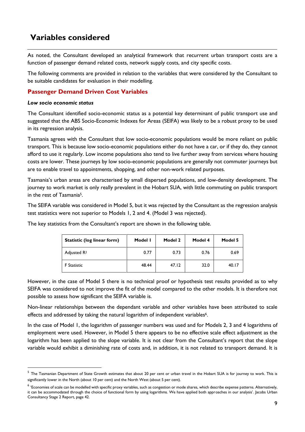# <span id="page-11-0"></span>**Variables considered**

As noted, the Consultant developed an analytical framework that recurrent urban transport costs are a function of passenger demand related costs, network supply costs, and city specific costs.

The following comments are provided in relation to the variables that were considered by the Consultant to be suitable candidates for evaluation in their modelling.

# **Passenger Demand Driven Cost Variables**

#### *Low socio economic status*

The Consultant identified socio-economic status as a potential key determinant of public transport use and suggested that the ABS Socio-Economic Indexes for Areas (SEIFA) was likely to be a robust proxy to be used in its regression analysis.

Tasmania agrees with the Consultant that low socio-economic populations would be more reliant on public transport. This is because low socio-economic populations either do not have a car, or if they do, they cannot afford to use it regularly. Low income populations also tend to live further away from services where housing costs are lower. These journeys by low socio-economic populations are generally not commuter journeys but are to enable travel to appointments, shopping, and other non-work related purposes.

Tasmania's urban areas are characterised by small dispersed populations, and low-density development. The journey to work market is only really prevalent in the Hobart SUA, with little commuting on public transport in the rest of Tasmania5.

The SEIFA variable was considered in Model 5, but it was rejected by the Consultant as the regression analysis test statistics were not superior to Models 1, 2 and 4. (Model 3 was rejected).

| <b>Statistic (log linear form)</b> | Model I | Model 2 | Model 4 | Model 5 |
|------------------------------------|---------|---------|---------|---------|
| Adjusted R <sup>2</sup>            | 0.77    | 0.73    | 0.76    | 0.69    |
| <b>F</b> Statistic                 | 48.44   | 47.12   | 32.0    | 40.17   |

The key statistics from the Consultant's report are shown in the following table.

However, in the case of Model 5 there is no technical proof or hypothesis test results provided as to why SEIFA was considered to not improve the fit of the model compared to the other models. It is therefore not possible to assess how significant the SEIFA variable is.

Non-linear relationships between the dependant variable and other variables have been attributed to scale effects and addressed by taking the natural logarithm of independent variables<sup>6</sup>.

In the case of Model 1, the logarithm of passenger numbers was used and for Models 2, 3 and 4 logarithms of employment were used. However, in Model 5 there appears to be no effective scale effect adjustment as the logarithm has been applied to the slope variable. It is not clear from the Consultant's report that the slope variable would exhibit a diminishing rate of costs and, in addition, it is not related to transport demand. It is

 $^5$  The Tasmanian Department of State Growth estimates that about 20 per cent or urban travel in the Hobart SUA is for journey to work. This is significantly lower in the North (about 10 per cent) and the North West (about 5 per cent).

 $^6$  'Economies of scale can be modelled with specific proxy variables, such as congestion or mode shares, which describe expense patterns. Alternatively, it can be accommodated through the choice of functional form by using logarithms. We have applied both approaches in our analysis'. Jacobs Urban Consultancy Stage 2 Report, page 42.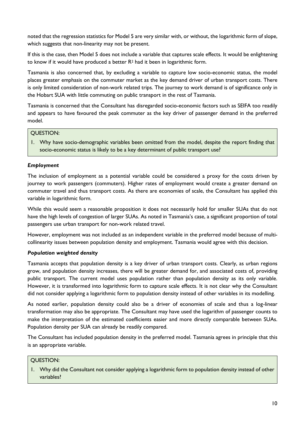noted that the regression statistics for Model 5 are very similar with, or without, the logarithmic form of slope, which suggests that non-linearity may not be present.

If this is the case, then Model 5 does not include a variable that captures scale effects. It would be enlightening to know if it would have produced a better R<sup>2</sup> had it been in logarithmic form.

Tasmania is also concerned that, by excluding a variable to capture low socio-economic status, the model places greater emphasis on the commuter market as the key demand driver of urban transport costs. There is only limited consideration of non-work related trips. The journey to work demand is of significance only in the Hobart SUA with little commuting on public transport in the rest of Tasmania.

Tasmania is concerned that the Consultant has disregarded socio-economic factors such as SEIFA too readily and appears to have favoured the peak commuter as the key driver of passenger demand in the preferred model.

# QUESTION:

1. Why have socio-demographic variables been omitted from the model, despite the report finding that socio-economic status is likely to be a key determinant of public transport use?

# *Employment*

The inclusion of employment as a potential variable could be considered a proxy for the costs driven by journey to work passengers (commuters). Higher rates of employment would create a greater demand on commuter travel and thus transport costs. As there are economies of scale, the Consultant has applied this variable in logarithmic form.

While this would seem a reasonable proposition it does not necessarily hold for smaller SUAs that do not have the high levels of congestion of larger SUAs. As noted in Tasmania's case, a significant proportion of total passengers use urban transport for non-work related travel.

However, employment was not included as an independent variable in the preferred model because of multicollinearity issues between population density and employment. Tasmania would agree with this decision.

# *Population weighted density*

Tasmania accepts that population density is a key driver of urban transport costs. Clearly, as urban regions grow, and population density increases, there will be greater demand for, and associated costs of, providing public transport. The current model uses population rather than population density as its only variable. However, it is transformed into logarithmic form to capture scale effects. It is not clear why the Consultant did not consider applying a logarithmic form to population density instead of other variables in its modelling.

As noted earlier, population density could also be a driver of economies of scale and thus a log-linear transformation may also be appropriate. The Consultant may have used the logarithm of passenger counts to make the interpretation of the estimated coefficients easier and more directly comparable between SUAs. Population density per SUA can already be readily compared.

The Consultant has included population density in the preferred model. Tasmania agrees in principle that this is an appropriate variable.

# QUESTION:

1. Why did the Consultant not consider applying a logarithmic form to population density instead of other variables?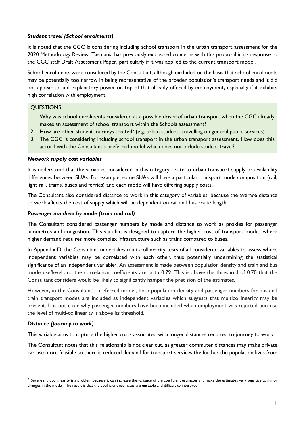# *Student travel (School enrolments)*

It is noted that the CGC is considering including school transport in the urban transport assessment for the 2020 Methodology Review. Tasmania has previously expressed concerns with this proposal in its response to the CGC staff Draft Assessment Paper, particularly if it was applied to the current transport model.

School enrolments were considered by the Consultant, although excluded on the basis that school enrolments may be potentially too narrow in being representative of the broader population's transport needs and it did not appear to add explanatory power on top of that already offered by employment, especially if it exhibits high correlation with employment.

# QUESTIONS:

- 1. Why was school enrolments considered as a possible driver of urban transport when the CGC already makes an assessment of school transport within the Schools assessment?
- 2. How are other student journeys treated? (e.g. urban students travelling on general public services).
- 3. The CGC is considering including school transport in the urban transport assessment. How does this accord with the Consultant's preferred model which does not include student travel?

### *Network supply cost variables*

It is understood that the variables considered in this category relate to urban transport supply or availability differences between SUAs. For example, some SUAs will have a particular transport mode composition (rail, light rail, trams, buses and ferries) and each mode will have differing supply costs.

The Consultant also considered distance to work in this category of variables, because the average distance to work affects the cost of supply which will be dependent on rail and bus route length.

### *Passenger numbers by mode (train and rail)*

The Consultant considered passenger numbers by mode and distance to work as proxies for passenger kilometres and congestion. This variable is designed to capture the higher cost of transport modes where higher demand requires more complex infrastructure such as trains compared to buses.

In Appendix D, the Consultant undertakes multi-collinearity tests of all considered variables to assess where independent variables may be correlated with each other, thus potentially undermining the statistical significance of an independent variable<sup>7</sup>. An assessment is made between population density and train and bus mode use/level and the correlation coefficients are both 0.79. This is above the threshold of 0.70 that the Consultant considers would be likely to significantly hamper the precision of the estimates.

However, in the Consultant's preferred model, both population density and passenger numbers for bus and train transport modes are included as independent variables which suggests that multicollinearity may be present. It is not clear why passenger numbers have been included when employment was rejected because the level of multi-collinearity is above its threshold.

#### *Distance (journey to work)*

 $\overline{a}$ 

This variable aims to capture the higher costs associated with longer distances required to journey to work.

The Consultant notes that this relationship is not clear cut, as greater commuter distances may make private car use more feasible so there is reduced demand for transport services the further the population lives from

 $^7$  Severe multicollinearity is a problem because it can increase the variance of the coefficient estimates and make the estimates very sensitive to minor changes in the model. The result is that the coefficient estimates are unstable and difficult to interpret.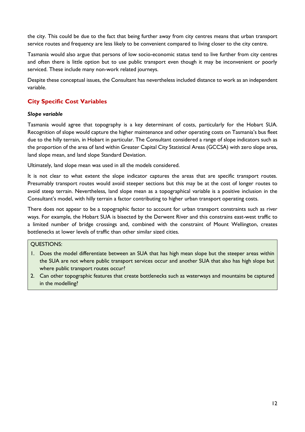the city. This could be due to the fact that being further away from city centres means that urban transport service routes and frequency are less likely to be convenient compared to living closer to the city centre.

Tasmania would also argue that persons of low socio-economic status tend to live further from city centres and often there is little option but to use public transport even though it may be inconvenient or poorly serviced. These include many non-work related journeys.

Despite these conceptual issues, the Consultant has nevertheless included distance to work as an independent variable.

# **City Specific Cost Variables**

# *Slope variable*

Tasmania would agree that topography is a key determinant of costs, particularly for the Hobart SUA. Recognition of slope would capture the higher maintenance and other operating costs on Tasmania's bus fleet due to the hilly terrain, in Hobart in particular. The Consultant considered a range of slope indicators such as the proportion of the area of land within Greater Capital City Statistical Areas (GCCSA) with zero slope area, land slope mean, and land slope Standard Deviation.

Ultimately, land slope mean was used in all the models considered.

It is not clear to what extent the slope indicator captures the areas that are specific transport routes. Presumably transport routes would avoid steeper sections but this may be at the cost of longer routes to avoid steep terrain. Nevertheless, land slope mean as a topographical variable is a positive inclusion in the Consultant's model, with hilly terrain a factor contributing to higher urban transport operating costs.

There does not appear to be a topographic factor to account for urban transport constraints such as river ways. For example, the Hobart SUA is bisected by the Derwent River and this constrains east-west traffic to a limited number of bridge crossings and, combined with the constraint of Mount Wellington, creates bottlenecks at lower levels of traffic than other similar sized cities.

# QUESTIONS:

- 1. Does the model differentiate between an SUA that has high mean slope but the steeper areas within the SUA are not where public transport services occur and another SUA that also has high slope but where public transport routes occur?
- <span id="page-14-0"></span>2. Can other topographic features that create bottlenecks such as waterways and mountains be captured in the modelling?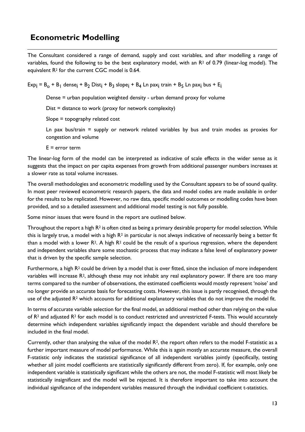# **Econometric Modelling**

The Consultant considered a range of demand, supply and cost variables, and after modelling a range of variables, found the following to be the best explanatory model, with an  $R<sup>2</sup>$  of 0.79 (linear-log model). The equivalent R<sup>2</sup> for the current CGC model is 0.64.

 $Exp_i = B_o + B_1$  dense $i + B_2$  Dist $i + B_3$  slope $i + B_4$  Ln pax $i$  train +  $B_5$  Ln pax $i$  bus + E $i$ 

Dense = urban population weighted density - urban demand proxy for volume

Dist = distance to work (proxy for network complexity)

Slope = topography related cost

Ln pax bus/train = supply or network related variables by bus and train modes as proxies for congestion and volume

 $E = error term$ 

The linear-log form of the model can be interpreted as indicative of scale effects in the wider sense as it suggests that the impact on per capita expenses from growth from additional passenger numbers increases at a slower rate as total volume increases.

The overall methodologies and econometric modelling used by the Consultant appears to be of sound quality. In most peer reviewed econometric research papers, the data and model codes are made available in order for the results to be replicated. However, no raw data, specific model outcomes or modelling codes have been provided, and so a detailed assessment and additional model testing is not fully possible.

Some minor issues that were found in the report are outlined below.

Throughout the report a high R<sup>2</sup> is often cited as being a primary desirable property for model selection. While this is largely true, a model with a high  $R^2$  in particular is not always indicative of necessarily being a better fit than a model with a lower  $R^2$ . A high  $R^2$  could be the result of a spurious regression, where the dependent and independent variables share some stochastic process that may indicate a false level of explanatory power that is driven by the specific sample selection.

Furthermore, a high  $R<sup>2</sup>$  could be driven by a model that is over fitted, since the inclusion of more independent variables will increase R<sup>2</sup>, although these may not inhabit any real explanatory power. If there are too many terms compared to the number of observations, the estimated coefficients would mostly represent 'noise' and no longer provide an accurate basis for forecasting costs. However, this issue is partly recognised, through the use of the adjusted R<sup>2</sup> which accounts for additional explanatory variables that do not improve the model fit.

In terms of accurate variable selection for the final model, an additional method other than relying on the value of R<sup>2</sup> and adjusted R<sup>2</sup> for each model is to conduct restricted and unrestricted F-tests. This would accurately determine which independent variables significantly impact the dependent variable and should therefore be included in the final model.

Currently, other than analysing the value of the model R<sup>2</sup>, the report often refers to the model F-statistic as a further important measure of model performance. While this is again mostly an accurate measure, the overall F-statistic only indicates the statistical significance of all independent variables jointly (specifically, testing whether all joint model coefficients are statistically significantly different from zero). If, for example, only one independent variable is statistically significant while the others are not, the model F-statistic will most likely be statistically insignificant and the model will be rejected. It is therefore important to take into account the individual significance of the independent variables measured through the individual coefficient t-statistics.